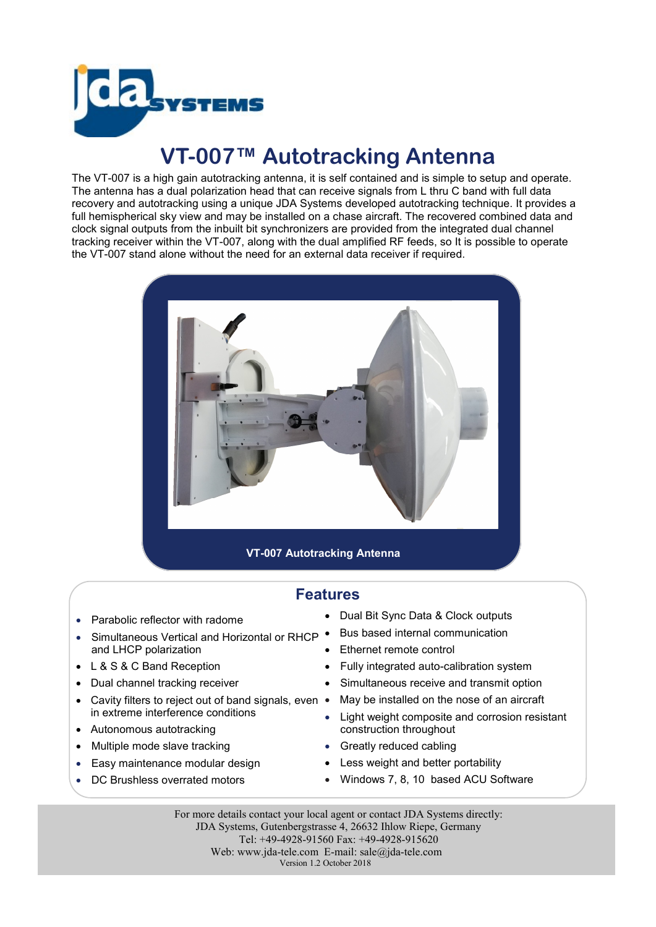

## **VT-007™ Autotracking Antenna**

The VT-007 is a high gain autotracking antenna, it is self contained and is simple to setup and operate. The antenna has a dual polarization head that can receive signals from L thru C band with full data recovery and autotracking using a unique JDA Systems developed autotracking technique. It provides a full hemispherical sky view and may be installed on a chase aircraft. The recovered combined data and clock signal outputs from the inbuilt bit synchronizers are provided from the integrated dual channel tracking receiver within the VT-007, along with the dual amplified RF feeds, so It is possible to operate the VT-007 stand alone without the need for an external data receiver if required.



## **Features**

- Parabolic reflector with radome
- Simultaneous Vertical and Horizontal or RHCP . and LHCP polarization
- L & S & C Band Reception
- Dual channel tracking receiver
- Cavity filters to reject out of band signals, even in extreme interference conditions
- Autonomous autotracking
- Multiple mode slave tracking
- Easy maintenance modular design
- DC Brushless overrated motors
- Dual Bit Sync Data & Clock outputs
- Bus based internal communication
- Ethernet remote control
- Fully integrated auto-calibration system
- Simultaneous receive and transmit option
- May be installed on the nose of an aircraft
- Light weight composite and corrosion resistant construction throughout
- Greatly reduced cabling
- Less weight and better portability
- Windows 7, 8, 10 based ACU Software

For more details contact your local agent or contact JDA Systems directly: JDA Systems, Gutenbergstrasse 4, 26632 Ihlow Riepe, Germany Tel: +49-4928-91560 Fax: +49-4928-915620 Web: www.jda-tele.com E-mail: sale@jda-tele.com Version 1.2 October 2018